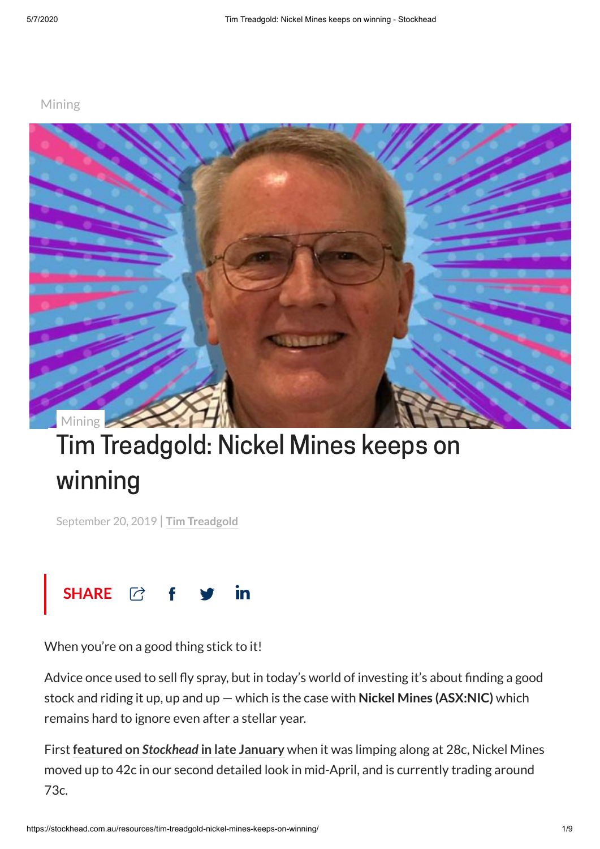## [Mining](https://stockhead.com.au/category/resources)



## Tim Treadgold: Nickel Mines keeps on winning

September 20, 2019 | **Tim [Treadgold](https://stockhead.com.au/author/tim-treadgold/)**



When you're on a good thing stick to it!

Advice once used to sell fly spray, but in today's world of investing it's about finding a good stock and riding it up, up and up — which is the case with **Nickel Mines (ASX:NIC)** which remains hard to ignore even after a stellar year.

First **featured on** *[Stockhead](https://stockhead.com.au/resources/tim-treadgold-nickel-mines-carves-out-a-slice-of-the-indonesian-nickel-business/)* **in late January** when it was limping along at 28c, Nickel Mines moved up to 42c in our second detailed look in mid-April, and is currently trading around 73c.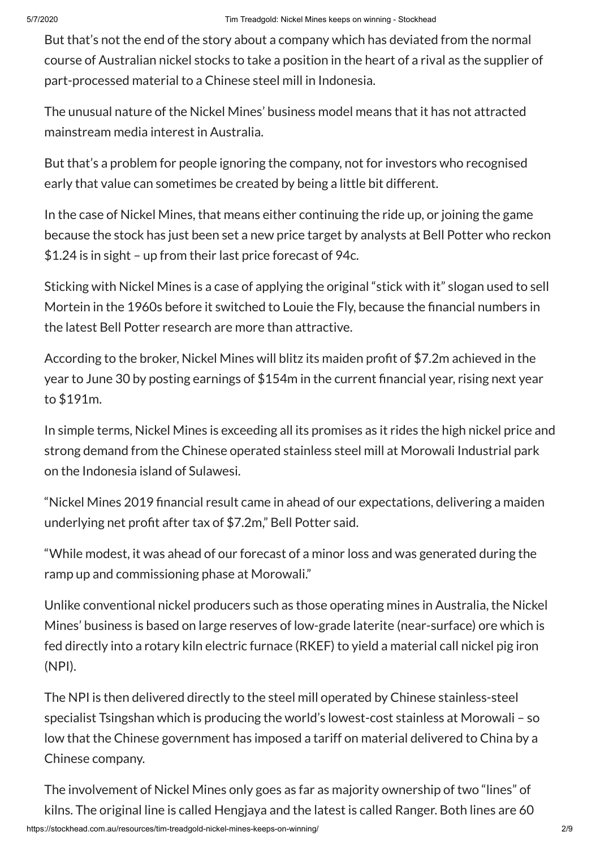But that's not the end of the story about a company which has deviated from the normal course of Australian nickel stocks to take a position in the heart of a rival as the supplier of part-processed material to a Chinese steel mill in Indonesia.

The unusual nature of the Nickel Mines' business model means that it has not attracted mainstream media interest in Australia.

But that's a problem for people ignoring the company, not for investors who recognised early that value can sometimes be created by being a little bit different.

In the case of Nickel Mines, that means either continuing the ride up, or joining the game because the stock has just been set a new price target by analysts at Bell Potter who reckon \$1.24 is in sight – up from their last price forecast of 94c.

Sticking with Nickel Mines is a case of applying the original "stick with it" slogan used to sell Mortein in the 1960s before it switched to Louie the Fly, because the financial numbers in the latest Bell Potter research are more than attractive.

According to the broker, Nickel Mines will blitz its maiden profit of \$7.2m achieved in the year to June 30 by posting earnings of \$154m in the current financial year, rising next year to \$191m.

In simple terms, Nickel Mines is exceeding all its promises as it rides the high nickel price and strong demand from the Chinese operated stainless steel mill at Morowali Industrial park on the Indonesia island of Sulawesi.

"Nickel Mines 2019 financial result came in ahead of our expectations, delivering a maiden underlying net profit after tax of \$7.2m," Bell Potter said.

"While modest, it was ahead of our forecast of a minor loss and was generated during the ramp up and commissioning phase at Morowali."

Unlike conventional nickel producers such as those operating mines in Australia, the Nickel Mines' business is based on large reserves of low-grade laterite (near-surface) ore which is fed directly into a rotary kiln electric furnace (RKEF) to yield a material call nickel pig iron (NPI).

The NPI is then delivered directly to the steel mill operated by Chinese stainless-steel specialist Tsingshan which is producing the world's lowest-cost stainless at Morowali – so low that the Chinese government has imposed a tariff on material delivered to China by a Chinese company.

The involvement of Nickel Mines only goes as far as majority ownership of two "lines" of kilns. The original line is called Hengjaya and the latest is called Ranger. Both lines are 60